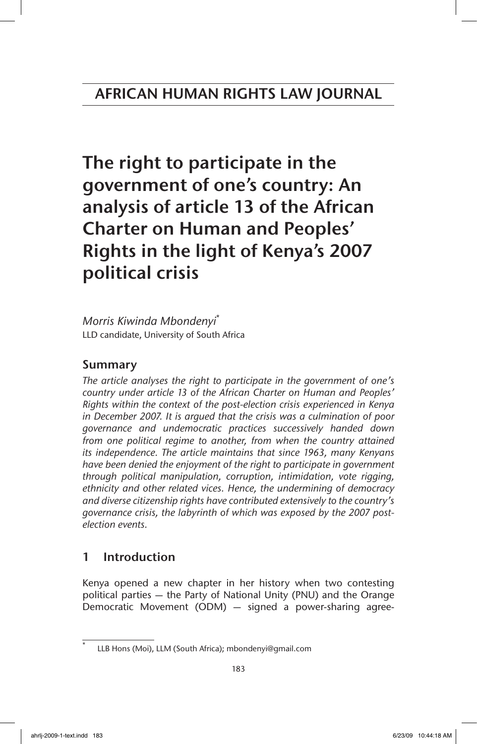The right to participate in the government of one's country: An analysis of article 13 of the African Charter on Human and Peoples' Rights in the light of Kenya's 2007 political crisis

*Morris Kiwinda Mbondenyi*\* LLD candidate, University of South Africa

# Summary

*The article analyses the right to participate in the government of one's country under article 13 of the African Charter on Human and Peoples' Rights within the context of the post-election crisis experienced in Kenya in December 2007. It is argued that the crisis was a culmination of poor governance and undemocratic practices successively handed down from one political regime to another, from when the country attained its independence. The article maintains that since 1963, many Kenyans have been denied the enjoyment of the right to participate in government through political manipulation, corruption, intimidation, vote rigging, ethnicity and other related vices. Hence, the undermining of democracy and diverse citizenship rights have contributed extensively to the country's governance crisis, the labyrinth of which was exposed by the 2007 postelection events.*

# 1 Introduction

Kenya opened a new chapter in her history when two contesting political parties — the Party of National Unity (PNU) and the Orange Democratic Movement (ODM) — signed a power-sharing agree-

LLB Hons (Moi), LLM (South Africa); mbondenyi@gmail.com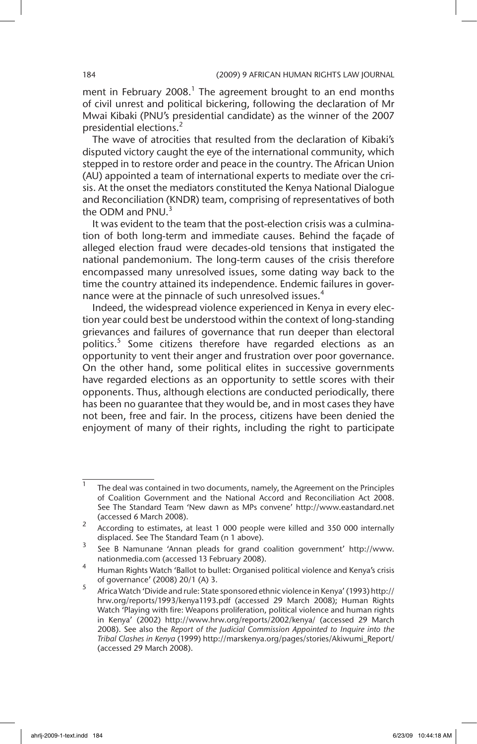ment in February 2008. $^1$  The agreement brought to an end months of civil unrest and political bickering, following the declaration of Mr Mwai Kibaki (PNU's presidential candidate) as the winner of the 2007 presidential elections.<sup>2</sup>

The wave of atrocities that resulted from the declaration of Kibaki's disputed victory caught the eye of the international community, which stepped in to restore order and peace in the country. The African Union (AU) appointed a team of international experts to mediate over the crisis. At the onset the mediators constituted the Kenya National Dialogue and Reconciliation (KNDR) team, comprising of representatives of both the ODM and  $PMU<sup>3</sup>$ 

It was evident to the team that the post-election crisis was a culmination of both long-term and immediate causes. Behind the façade of alleged election fraud were decades-old tensions that instigated the national pandemonium. The long-term causes of the crisis therefore encompassed many unresolved issues, some dating way back to the time the country attained its independence. Endemic failures in governance were at the pinnacle of such unresolved issues.<sup>4</sup>

Indeed, the widespread violence experienced in Kenya in every election year could best be understood within the context of long-standing grievances and failures of governance that run deeper than electoral politics.<sup>5</sup> Some citizens therefore have regarded elections as an opportunity to vent their anger and frustration over poor governance. On the other hand, some political elites in successive governments have regarded elections as an opportunity to settle scores with their opponents. Thus, although elections are conducted periodically, there has been no guarantee that they would be, and in most cases they have not been, free and fair. In the process, citizens have been denied the enjoyment of many of their rights, including the right to participate

<sup>1</sup> The deal was contained in two documents, namely, the Agreement on the Principles of Coalition Government and the National Accord and Reconciliation Act 2008. See The Standard Team 'New dawn as MPs convene' http://www.eastandard.net (accessed 6 March 2008).

<sup>&</sup>lt;sup>2</sup> According to estimates, at least 1 000 people were killed and 350 000 internally displaced. See The Standard Team (n 1 above).

<sup>3</sup> See B Namunane 'Annan pleads for grand coalition government' http://www. nationmedia.com (accessed 13 February 2008).

<sup>4</sup> Human Rights Watch 'Ballot to bullet: Organised political violence and Kenya's crisis of governance' (2008) 20/1 (A) 3.

<sup>5</sup> Africa Watch 'Divide and rule: State sponsored ethnic violence in Kenya' (1993) http:// hrw.org/reports/1993/kenya1193.pdf (accessed 29 March 2008); Human Rights Watch 'Playing with fire: Weapons proliferation, political violence and human rights in Kenya' (2002) http://www.hrw.org/reports/2002/kenya/ (accessed 29 March 2008). See also the *Report of the Judicial Commission Appointed to Inquire into the Tribal Clashes in Kenya* (1999) http://marskenya.org/pages/stories/Akiwumi\_Report/ (accessed 29 March 2008).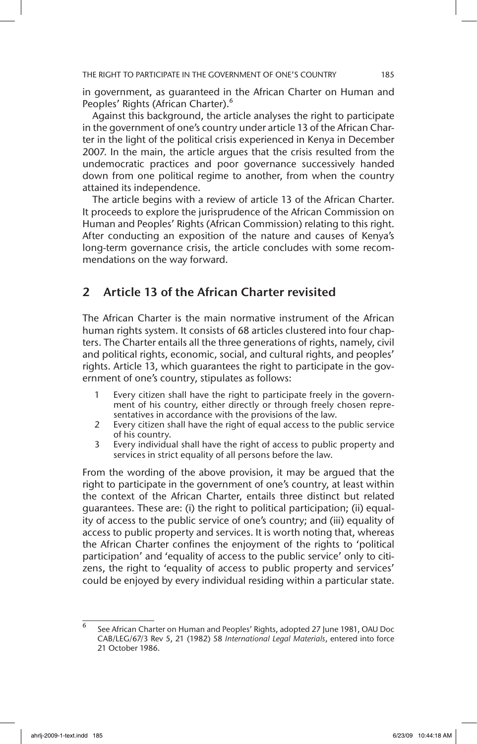in government, as guaranteed in the African Charter on Human and Peoples' Rights (African Charter).<sup>6</sup>

Against this background, the article analyses the right to participate in the government of one's country under article 13 of the African Charter in the light of the political crisis experienced in Kenya in December 2007. In the main, the article argues that the crisis resulted from the undemocratic practices and poor governance successively handed down from one political regime to another, from when the country attained its independence.

The article begins with a review of article 13 of the African Charter. It proceeds to explore the jurisprudence of the African Commission on Human and Peoples' Rights (African Commission) relating to this right. After conducting an exposition of the nature and causes of Kenya's long-term governance crisis, the article concludes with some recommendations on the way forward.

## 2 Article 13 of the African Charter revisited

The African Charter is the main normative instrument of the African human rights system. It consists of 68 articles clustered into four chapters. The Charter entails all the three generations of rights, namely, civil and political rights, economic, social, and cultural rights, and peoples' rights. Article 13, which guarantees the right to participate in the government of one's country, stipulates as follows:

- 1 Every citizen shall have the right to participate freely in the government of his country, either directly or through freely chosen representatives in accordance with the provisions of the law.
- 2 Every citizen shall have the right of equal access to the public service of his country.
- 3 Every individual shall have the right of access to public property and services in strict equality of all persons before the law.

From the wording of the above provision, it may be argued that the right to participate in the government of one's country, at least within the context of the African Charter, entails three distinct but related guarantees. These are: (i) the right to political participation; (ii) equality of access to the public service of one's country; and (iii) equality of access to public property and services. It is worth noting that, whereas the African Charter confines the enjoyment of the rights to 'political participation' and 'equality of access to the public service' only to citizens, the right to 'equality of access to public property and services' could be enjoyed by every individual residing within a particular state.

<sup>6</sup> See African Charter on Human and Peoples' Rights, adopted 27 June 1981, OAU Doc CAB/LEG/67/3 Rev 5, 21 (1982) 58 *International Legal Materials*, entered into force 21 October 1986.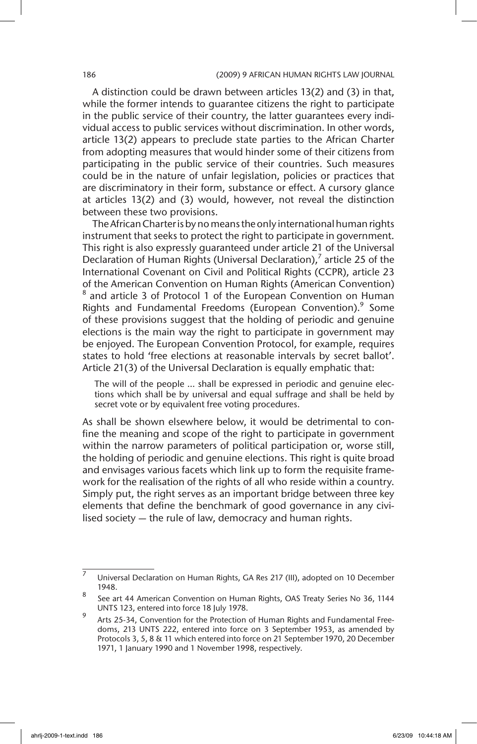A distinction could be drawn between articles 13(2) and (3) in that, while the former intends to guarantee citizens the right to participate in the public service of their country, the latter guarantees every individual access to public services without discrimination. In other words, article 13(2) appears to preclude state parties to the African Charter from adopting measures that would hinder some of their citizens from participating in the public service of their countries. Such measures could be in the nature of unfair legislation, policies or practices that are discriminatory in their form, substance or effect. A cursory glance at articles 13(2) and (3) would, however, not reveal the distinction between these two provisions.

The African Charter is by no means the only international human rights instrument that seeks to protect the right to participate in government. This right is also expressly guaranteed under article 21 of the Universal Declaration of Human Rights (Universal Declaration), $^7$  article 25 of the International Covenant on Civil and Political Rights (CCPR), article 23 of the American Convention on Human Rights (American Convention) <sup>8</sup> and article 3 of Protocol 1 of the European Convention on Human Rights and Fundamental Freedoms (European Convention).<sup>9</sup> Some of these provisions suggest that the holding of periodic and genuine elections is the main way the right to participate in government may be enjoyed. The European Convention Protocol, for example, requires states to hold 'free elections at reasonable intervals by secret ballot'. Article 21(3) of the Universal Declaration is equally emphatic that:

The will of the people … shall be expressed in periodic and genuine elections which shall be by universal and equal suffrage and shall be held by secret vote or by equivalent free voting procedures.

As shall be shown elsewhere below, it would be detrimental to confine the meaning and scope of the right to participate in government within the narrow parameters of political participation or, worse still, the holding of periodic and genuine elections. This right is quite broad and envisages various facets which link up to form the requisite framework for the realisation of the rights of all who reside within a country. Simply put, the right serves as an important bridge between three key elements that define the benchmark of good governance in any civilised society — the rule of law, democracy and human rights.

<sup>7</sup> Universal Declaration on Human Rights, GA Res 217 (III), adopted on 10 December 1948.

<sup>8</sup> See art 44 American Convention on Human Rights, OAS Treaty Series No 36, 1144 UNTS 123, entered into force 18 July 1978.

Arts 25-34, Convention for the Protection of Human Rights and Fundamental Freedoms, 213 UNTS 222, entered into force on 3 September 1953, as amended by Protocols 3, 5, 8 & 11 which entered into force on 21 September 1970, 20 December 1971, 1 January 1990 and 1 November 1998, respectively.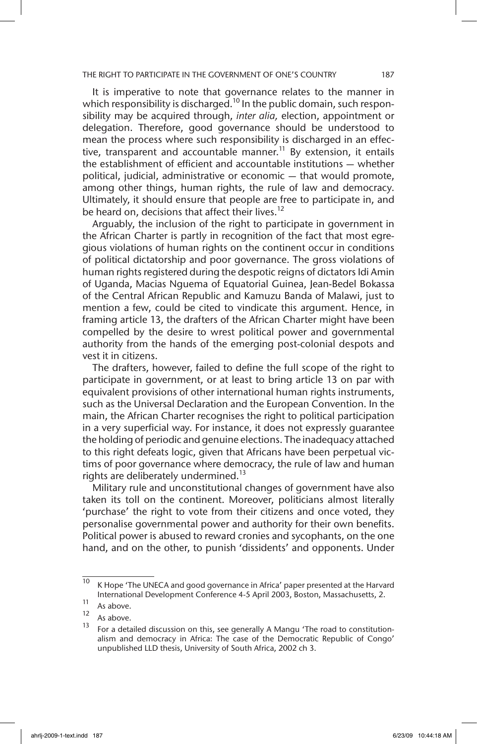It is imperative to note that governance relates to the manner in which responsibility is discharged.<sup>10</sup> In the public domain, such responsibility may be acquired through, *inter alia,* election, appointment or delegation. Therefore, good governance should be understood to mean the process where such responsibility is discharged in an effective, transparent and accountable manner.<sup>11</sup> By extension, it entails the establishment of efficient and accountable institutions — whether political, judicial, administrative or economic — that would promote, among other things, human rights, the rule of law and democracy. Ultimately, it should ensure that people are free to participate in, and be heard on, decisions that affect their lives.<sup>12</sup>

Arguably, the inclusion of the right to participate in government in the African Charter is partly in recognition of the fact that most egregious violations of human rights on the continent occur in conditions of political dictatorship and poor governance. The gross violations of human rights registered during the despotic reigns of dictators Idi Amin of Uganda, Macias Nguema of Equatorial Guinea, Jean-Bedel Bokassa of the Central African Republic and Kamuzu Banda of Malawi, just to mention a few, could be cited to vindicate this argument. Hence, in framing article 13, the drafters of the African Charter might have been compelled by the desire to wrest political power and governmental authority from the hands of the emerging post-colonial despots and vest it in citizens.

The drafters, however, failed to define the full scope of the right to participate in government, or at least to bring article 13 on par with equivalent provisions of other international human rights instruments, such as the Universal Declaration and the European Convention. In the main, the African Charter recognises the right to political participation in a very superficial way. For instance, it does not expressly guarantee the holding of periodic and genuine elections. The inadequacy attached to this right defeats logic, given that Africans have been perpetual victims of poor governance where democracy, the rule of law and human rights are deliberately undermined.<sup>13</sup>

Military rule and unconstitutional changes of government have also taken its toll on the continent. Moreover, politicians almost literally 'purchase' the right to vote from their citizens and once voted, they personalise governmental power and authority for their own benefits. Political power is abused to reward cronies and sycophants, on the one hand, and on the other, to punish 'dissidents' and opponents. Under

 $\frac{10}{10}$  K Hope 'The UNECA and good governance in Africa' paper presented at the Harvard International Development Conference 4-5 April 2003, Boston, Massachusetts, 2.

 $\frac{11}{12}$  As above.

 $\frac{12}{13}$  As above.

For a detailed discussion on this, see generally A Mangu 'The road to constitutionalism and democracy in Africa: The case of the Democratic Republic of Congo' unpublished LLD thesis, University of South Africa, 2002 ch 3.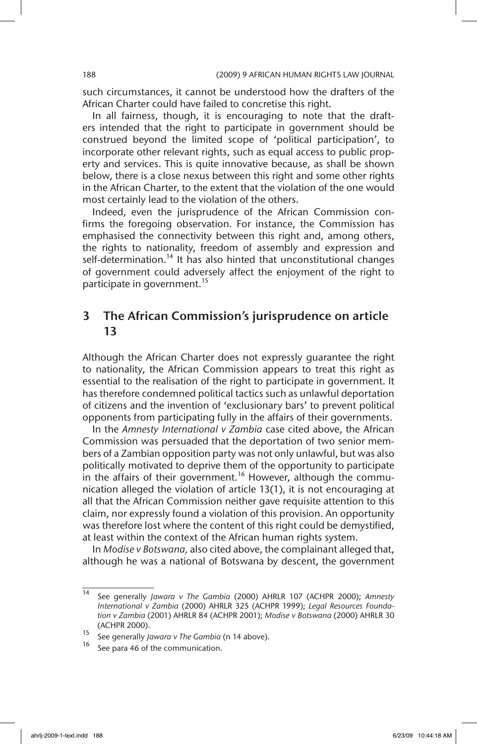such circumstances, it cannot be understood how the drafters of the African Charter could have failed to concretise this right.

In all fairness, though, it is encouraging to note that the drafters intended that the right to participate in government should be construed beyond the limited scope of 'political participation', to incorporate other relevant rights, such as equal access to public property and services. This is quite innovative because, as shall be shown below, there is a close nexus between this right and some other rights in the African Charter, to the extent that the violation of the one would most certainly lead to the violation of the others.

Indeed, even the jurisprudence of the African Commission confirms the foregoing observation. For instance, the Commission has emphasised the connectivity between this right and, among others, the rights to nationality, freedom of assembly and expression and self-determination.<sup>14</sup> It has also hinted that unconstitutional changes of government could adversely affect the enjoyment of the right to participate in government.<sup>15</sup>

## 3 The African Commission's jurisprudence on article 13

Although the African Charter does not expressly guarantee the right to nationality, the African Commission appears to treat this right as essential to the realisation of the right to participate in government. It has therefore condemned political tactics such as unlawful deportation of citizens and the invention of 'exclusionary bars' to prevent political opponents from participating fully in the affairs of their governments.

In the *Amnesty International v Zambia* case cited above, the African Commission was persuaded that the deportation of two senior members of a Zambian opposition party was not only unlawful, but was also politically motivated to deprive them of the opportunity to participate in the affairs of their government.<sup>16</sup> However, although the communication alleged the violation of article 13(1), it is not encouraging at all that the African Commission neither gave requisite attention to this claim, nor expressly found a violation of this provision. An opportunity was therefore lost where the content of this right could be demystified, at least within the context of the African human rights system.

In *Modise v Botswana,* also cited above, the complainant alleged that, although he was a national of Botswana by descent, the government

<sup>14</sup> See generally *Jawara v The Gambia* (2000) AHRLR 107 (ACHPR 2000); *Amnesty International v Zambia* (2000) AHRLR 325 (ACHPR 1999); *Legal Resources Foundation v Zambia* (2001) AHRLR 84 (ACHPR 2001); *Modise v Botswana* (2000) AHRLR 30 (ACHPR 2000).

<sup>15</sup> See generally *Jawara v The Gambia* (n 14 above).

See para 46 of the communication.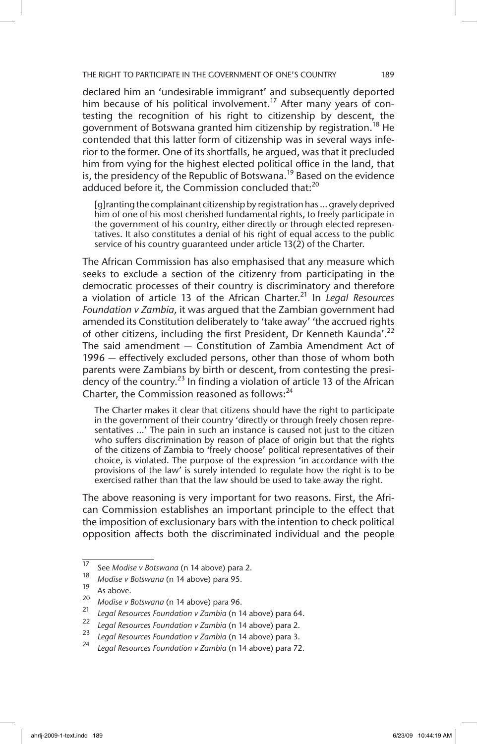declared him an 'undesirable immigrant' and subsequently deported him because of his political involvement.<sup>17</sup> After many years of contesting the recognition of his right to citizenship by descent, the government of Botswana granted him citizenship by registration.18 He contended that this latter form of citizenship was in several ways inferior to the former. One of its shortfalls, he argued, was that it precluded him from vying for the highest elected political office in the land, that is, the presidency of the Republic of Botswana.<sup>19</sup> Based on the evidence adduced before it, the Commission concluded that: $^{20}$ 

[g]ranting the complainant citizenship by registration has … gravely deprived him of one of his most cherished fundamental rights, to freely participate in the government of his country, either directly or through elected representatives. It also constitutes a denial of his right of equal access to the public service of his country guaranteed under article 13(2) of the Charter.

The African Commission has also emphasised that any measure which seeks to exclude a section of the citizenry from participating in the democratic processes of their country is discriminatory and therefore a violation of article 13 of the African Charter.<sup>21</sup> In *Legal Resources Foundation v Zambia,* it was argued that the Zambian government had amended its Constitution deliberately to 'take away' 'the accrued rights of other citizens, including the first President, Dr Kenneth Kaunda'.<sup>22</sup> The said amendment — Constitution of Zambia Amendment Act of 1996 — effectively excluded persons, other than those of whom both parents were Zambians by birth or descent, from contesting the presidency of the country.<sup>23</sup> In finding a violation of article 13 of the African Charter, the Commission reasoned as follows: $^{24}$ 

The Charter makes it clear that citizens should have the right to participate in the government of their country 'directly or through freely chosen representatives …' The pain in such an instance is caused not just to the citizen who suffers discrimination by reason of place of origin but that the rights of the citizens of Zambia to 'freely choose' political representatives of their choice, is violated. The purpose of the expression 'in accordance with the provisions of the law' is surely intended to regulate how the right is to be exercised rather than that the law should be used to take away the right.

The above reasoning is very important for two reasons. First, the African Commission establishes an important principle to the effect that the imposition of exclusionary bars with the intention to check political opposition affects both the discriminated individual and the people

<sup>17</sup> See *Modise v Botswana* (n 14 above) para 2.

<sup>18</sup> *Modise v Botswana* (n 14 above) para 95.

 $\frac{19}{20}$  As above.

<sup>20</sup> *Modise v Botswana* (n 14 above) para 96.

<sup>21</sup> *Legal Resources Foundation v Zambia* (n 14 above) para 64.

<sup>22</sup> *Legal Resources Foundation v Zambia* (n 14 above) para 2.

<sup>23</sup> *Legal Resources Foundation v Zambia* (n 14 above) para 3.

<sup>24</sup> *Legal Resources Foundation v Zambia* (n 14 above) para 72.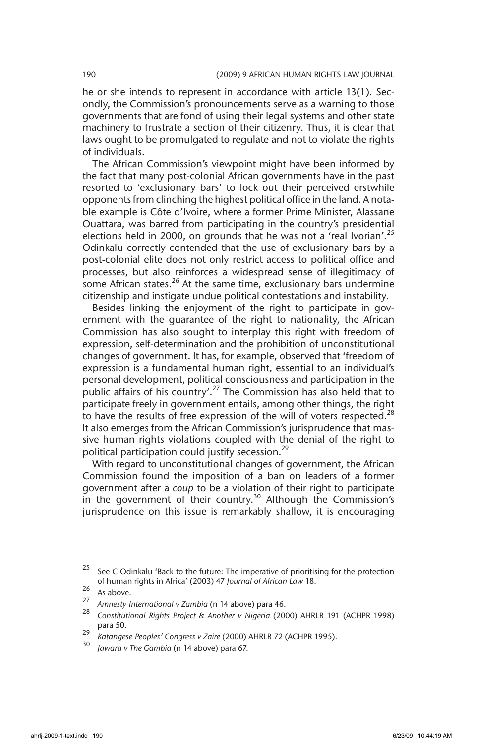he or she intends to represent in accordance with article 13(1). Secondly, the Commission's pronouncements serve as a warning to those governments that are fond of using their legal systems and other state machinery to frustrate a section of their citizenry. Thus, it is clear that laws ought to be promulgated to regulate and not to violate the rights of individuals.

The African Commission's viewpoint might have been informed by the fact that many post-colonial African governments have in the past resorted to 'exclusionary bars' to lock out their perceived erstwhile opponents from clinching the highest political office in the land. A notable example is Côte d'Ivoire, where a former Prime Minister, Alassane Ouattara, was barred from participating in the country's presidential elections held in 2000, on grounds that he was not a 'real Ivorian'.<sup>25</sup> Odinkalu correctly contended that the use of exclusionary bars by a post-colonial elite does not only restrict access to political office and processes, but also reinforces a widespread sense of illegitimacy of some African states.<sup>26</sup> At the same time, exclusionary bars undermine citizenship and instigate undue political contestations and instability.

Besides linking the enjoyment of the right to participate in government with the guarantee of the right to nationality, the African Commission has also sought to interplay this right with freedom of expression, self-determination and the prohibition of unconstitutional changes of government. It has, for example, observed that 'freedom of expression is a fundamental human right, essential to an individual's personal development, political consciousness and participation in the public affairs of his country'.<sup>27</sup> The Commission has also held that to participate freely in government entails, among other things, the right to have the results of free expression of the will of voters respected.<sup>28</sup> It also emerges from the African Commission's jurisprudence that massive human rights violations coupled with the denial of the right to political participation could justify secession.29

With regard to unconstitutional changes of government, the African Commission found the imposition of a ban on leaders of a former government after a *coup* to be a violation of their right to participate in the government of their country.<sup>30</sup> Although the Commission's jurisprudence on this issue is remarkably shallow, it is encouraging

<sup>&</sup>lt;sup>25</sup> See C Odinkalu 'Back to the future: The imperative of prioritising for the protection of human rights in Africa' (2003) 47 *Journal of African Law* 18.

 $\frac{26}{27}$  As above.

<sup>27</sup> *Amnesty International v Zambia* (n 14 above) para 46.

<sup>28</sup> *Constitutional Rights Project & Another v Nigeria* (2000) AHRLR 191 (ACHPR 1998) para 50.

<sup>29</sup> *Katangese Peoples' Congress v Zaire* (2000) AHRLR 72 (ACHPR 1995).

<sup>30</sup> *Jawara v The Gambia* (n 14 above) para 67.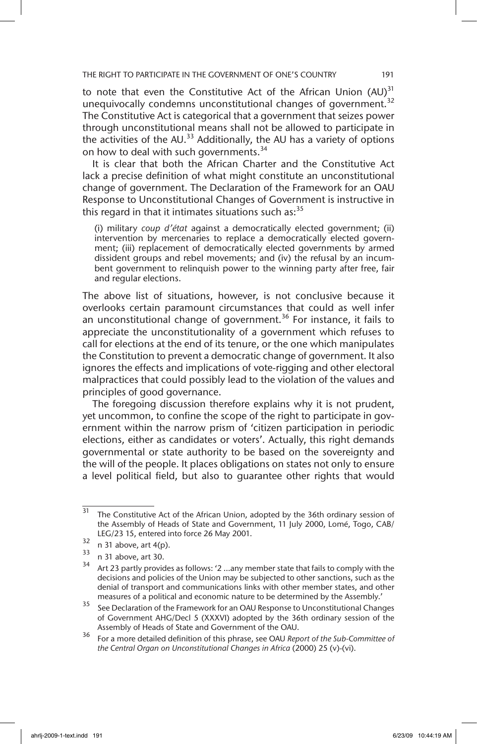to note that even the Constitutive Act of the African Union  $(AU)^{31}$ unequivocally condemns unconstitutional changes of government.<sup>32</sup> The Constitutive Act is categorical that a government that seizes power through unconstitutional means shall not be allowed to participate in the activities of the AU. $^{33}$  Additionally, the AU has a variety of options on how to deal with such governments.<sup>34</sup>

It is clear that both the African Charter and the Constitutive Act lack a precise definition of what might constitute an unconstitutional change of government. The Declaration of the Framework for an OAU Response to Unconstitutional Changes of Government is instructive in this regard in that it intimates situations such as: $35$ 

(i) military *coup d'état* against a democratically elected government; (ii) intervention by mercenaries to replace a democratically elected government; (iii) replacement of democratically elected governments by armed dissident groups and rebel movements; and (iv) the refusal by an incumbent government to relinquish power to the winning party after free, fair and regular elections.

The above list of situations, however, is not conclusive because it overlooks certain paramount circumstances that could as well infer an unconstitutional change of government.<sup>36</sup> For instance, it fails to appreciate the unconstitutionality of a government which refuses to call for elections at the end of its tenure, or the one which manipulates the Constitution to prevent a democratic change of government. It also ignores the effects and implications of vote-rigging and other electoral malpractices that could possibly lead to the violation of the values and principles of good governance.

The foregoing discussion therefore explains why it is not prudent, yet uncommon, to confine the scope of the right to participate in government within the narrow prism of 'citizen participation in periodic elections, either as candidates or voters'. Actually, this right demands governmental or state authority to be based on the sovereignty and the will of the people. It places obligations on states not only to ensure a level political field, but also to guarantee other rights that would

<sup>&</sup>lt;sup>31</sup> The Constitutive Act of the African Union, adopted by the 36th ordinary session of the Assembly of Heads of State and Government, 11 July 2000, Lomé, Togo, CAB/ LEG/23 15, entered into force 26 May 2001.

 $32 \n n 31$  above, art 4(p).

 $\frac{33}{34}$  n 31 above, art 30.

Art 23 partly provides as follows: '2 ...any member state that fails to comply with the decisions and policies of the Union may be subjected to other sanctions, such as the denial of transport and communications links with other member states, and other measures of a political and economic nature to be determined by the Assembly.'

<sup>35</sup> See Declaration of the Framework for an OAU Response to Unconstitutional Changes of Government AHG/Decl 5 (XXXVI) adopted by the 36th ordinary session of the Assembly of Heads of State and Government of the OAU.

<sup>36</sup> For a more detailed definition of this phrase, see OAU *Report of the Sub-Committee of the Central Organ on Unconstitutional Changes in Africa* (2000) 25 (v)-(vi).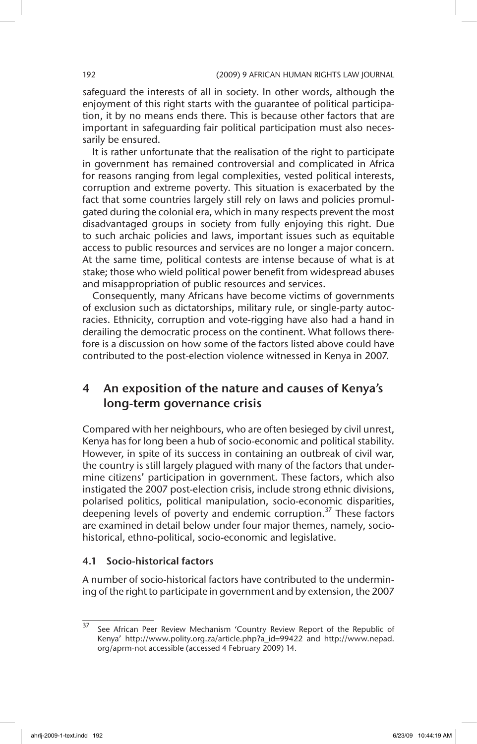safeguard the interests of all in society. In other words, although the enjoyment of this right starts with the guarantee of political participation, it by no means ends there. This is because other factors that are important in safeguarding fair political participation must also necessarily be ensured.

It is rather unfortunate that the realisation of the right to participate in government has remained controversial and complicated in Africa for reasons ranging from legal complexities, vested political interests, corruption and extreme poverty. This situation is exacerbated by the fact that some countries largely still rely on laws and policies promulgated during the colonial era, which in many respects prevent the most disadvantaged groups in society from fully enjoying this right. Due to such archaic policies and laws, important issues such as equitable access to public resources and services are no longer a major concern. At the same time, political contests are intense because of what is at stake; those who wield political power benefit from widespread abuses and misappropriation of public resources and services.

Consequently, many Africans have become victims of governments of exclusion such as dictatorships, military rule, or single-party autocracies. Ethnicity, corruption and vote-rigging have also had a hand in derailing the democratic process on the continent. What follows therefore is a discussion on how some of the factors listed above could have contributed to the post-election violence witnessed in Kenya in 2007.

# 4 An exposition of the nature and causes of Kenya's long-term governance crisis

Compared with her neighbours, who are often besieged by civil unrest, Kenya has for long been a hub of socio-economic and political stability. However, in spite of its success in containing an outbreak of civil war, the country is still largely plagued with many of the factors that undermine citizens' participation in government. These factors, which also instigated the 2007 post-election crisis, include strong ethnic divisions, polarised politics, political manipulation, socio-economic disparities, deepening levels of poverty and endemic corruption.<sup>37</sup> These factors are examined in detail below under four major themes, namely, sociohistorical, ethno-political, socio-economic and legislative.

## 4.1 Socio-historical factors

A number of socio-historical factors have contributed to the undermining of the right to participate in government and by extension, the 2007

See African Peer Review Mechanism 'Country Review Report of the Republic of Kenya' http://www.polity.org.za/article.php?a\_id=99422 and http://www.nepad. org/aprm-not accessible (accessed 4 February 2009) 14.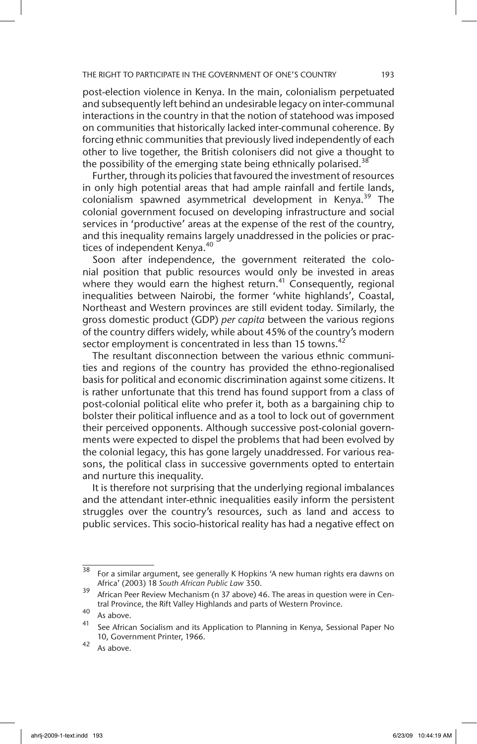post-election violence in Kenya. In the main, colonialism perpetuated and subsequently left behind an undesirable legacy on inter-communal interactions in the country in that the notion of statehood was imposed on communities that historically lacked inter-communal coherence. By forcing ethnic communities that previously lived independently of each other to live together, the British colonisers did not give a thought to the possibility of the emerging state being ethnically polarised.<sup>38</sup>

Further, through its policies that favoured the investment of resources in only high potential areas that had ample rainfall and fertile lands, colonialism spawned asymmetrical development in Kenya.<sup>39</sup> The colonial government focused on developing infrastructure and social services in 'productive' areas at the expense of the rest of the country, and this inequality remains largely unaddressed in the policies or practices of independent Kenya.<sup>40</sup>

Soon after independence, the government reiterated the colonial position that public resources would only be invested in areas where they would earn the highest return.<sup>41</sup> Consequently, regional inequalities between Nairobi, the former 'white highlands', Coastal, Northeast and Western provinces are still evident today. Similarly, the gross domestic product (GDP) *per capita* between the various regions of the country differs widely, while about 45% of the country's modern sector employment is concentrated in less than 15 towns.<sup>42</sup>

The resultant disconnection between the various ethnic communities and regions of the country has provided the ethno-regionalised basis for political and economic discrimination against some citizens. It is rather unfortunate that this trend has found support from a class of post-colonial political elite who prefer it, both as a bargaining chip to bolster their political influence and as a tool to lock out of government their perceived opponents. Although successive post-colonial governments were expected to dispel the problems that had been evolved by the colonial legacy, this has gone largely unaddressed. For various reasons, the political class in successive governments opted to entertain and nurture this inequality.

It is therefore not surprising that the underlying regional imbalances and the attendant inter-ethnic inequalities easily inform the persistent struggles over the country's resources, such as land and access to public services. This socio-historical reality has had a negative effect on

<sup>38</sup> For a similar argument, see generally K Hopkins 'A new human rights era dawns on Africa' (2003) 18 *South African Public Law* 350.

<sup>&</sup>lt;sup>39</sup> African Peer Review Mechanism (n 37 above) 46. The areas in question were in Central Province, the Rift Valley Highlands and parts of Western Province.

 $^{40}$  As above.

See African Socialism and its Application to Planning in Kenya, Sessional Paper No 10, Government Printer, 1966.

 $42$  As above.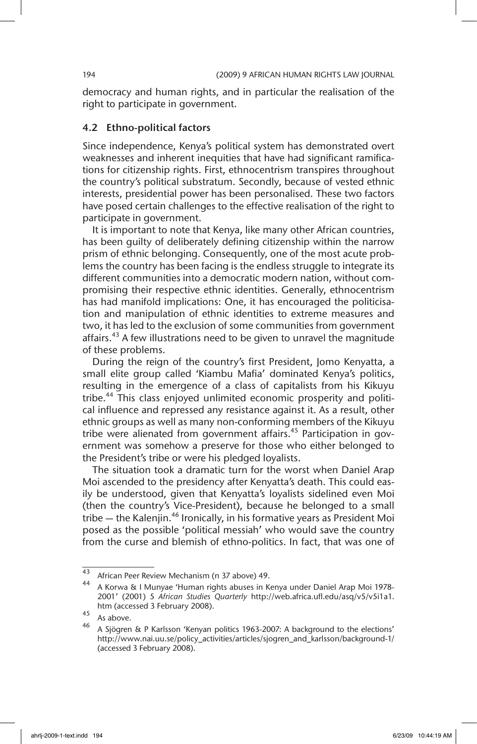democracy and human rights, and in particular the realisation of the right to participate in government.

### 4.2 Ethno-political factors

Since independence, Kenya's political system has demonstrated overt weaknesses and inherent inequities that have had significant ramifications for citizenship rights. First, ethnocentrism transpires throughout the country's political substratum. Secondly, because of vested ethnic interests, presidential power has been personalised. These two factors have posed certain challenges to the effective realisation of the right to participate in government.

It is important to note that Kenya, like many other African countries, has been guilty of deliberately defining citizenship within the narrow prism of ethnic belonging. Consequently, one of the most acute problems the country has been facing is the endless struggle to integrate its different communities into a democratic modern nation, without compromising their respective ethnic identities. Generally, ethnocentrism has had manifold implications: One, it has encouraged the politicisation and manipulation of ethnic identities to extreme measures and two, it has led to the exclusion of some communities from government affairs.<sup>43</sup> A few illustrations need to be given to unravel the magnitude of these problems.

During the reign of the country's first President, Jomo Kenyatta, a small elite group called 'Kiambu Mafia' dominated Kenya's politics, resulting in the emergence of a class of capitalists from his Kikuyu tribe.<sup>44</sup> This class enjoyed unlimited economic prosperity and political influence and repressed any resistance against it. As a result, other ethnic groups as well as many non-conforming members of the Kikuyu tribe were alienated from government affairs.<sup>45</sup> Participation in government was somehow a preserve for those who either belonged to the President's tribe or were his pledged loyalists.

The situation took a dramatic turn for the worst when Daniel Arap Moi ascended to the presidency after Kenyatta's death. This could easily be understood, given that Kenyatta's loyalists sidelined even Moi (then the country's Vice-President), because he belonged to a small tribe — the Kalenjin.<sup>46</sup> Ironically, in his formative years as President Moi posed as the possible 'political messiah' who would save the country from the curse and blemish of ethno-politics. In fact, that was one of

 $43$  African Peer Review Mechanism (n 37 above) 49.

<sup>44</sup> A Korwa & I Munyae 'Human rights abuses in Kenya under Daniel Arap Moi 1978- 2001' (2001) 5 *African Studies Quarterly* http://web.africa.ufl.edu/asq/v5/v5i1a1. htm (accessed 3 February 2008).

 $45$  As above.

<sup>46</sup> A Sjögren & P Karlsson 'Kenyan politics 1963-2007: A background to the elections' http://www.nai.uu.se/policy\_activities/articles/sjogren\_and\_karlsson/background-1/ (accessed 3 February 2008).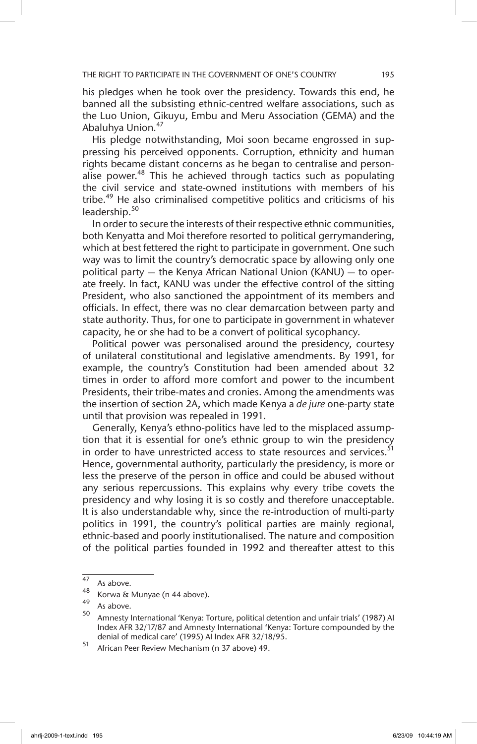his pledges when he took over the presidency. Towards this end, he banned all the subsisting ethnic-centred welfare associations, such as the Luo Union, Gikuyu, Embu and Meru Association (GEMA) and the Abaluhya Union*.* 47

His pledge notwithstanding, Moi soon became engrossed in suppressing his perceived opponents. Corruption, ethnicity and human rights became distant concerns as he began to centralise and personalise power.<sup>48</sup> This he achieved through tactics such as populating the civil service and state-owned institutions with members of his tribe.49 He also criminalised competitive politics and criticisms of his leadership. $50$ 

In order to secure the interests of their respective ethnic communities, both Kenyatta and Moi therefore resorted to political gerrymandering, which at best fettered the right to participate in government. One such way was to limit the country's democratic space by allowing only one political party — the Kenya African National Union (KANU) — to operate freely. In fact, KANU was under the effective control of the sitting President, who also sanctioned the appointment of its members and officials. In effect, there was no clear demarcation between party and state authority. Thus, for one to participate in government in whatever capacity, he or she had to be a convert of political sycophancy.

Political power was personalised around the presidency, courtesy of unilateral constitutional and legislative amendments. By 1991, for example, the country's Constitution had been amended about 32 times in order to afford more comfort and power to the incumbent Presidents, their tribe-mates and cronies. Among the amendments was the insertion of section 2A, which made Kenya a *de jure* one-party state until that provision was repealed in 1991.

Generally, Kenya's ethno-politics have led to the misplaced assumption that it is essential for one's ethnic group to win the presidency in order to have unrestricted access to state resources and services. $51$ Hence, governmental authority, particularly the presidency, is more or less the preserve of the person in office and could be abused without any serious repercussions. This explains why every tribe covets the presidency and why losing it is so costly and therefore unacceptable. It is also understandable why, since the re-introduction of multi-party politics in 1991, the country's political parties are mainly regional, ethnic-based and poorly institutionalised. The nature and composition of the political parties founded in 1992 and thereafter attest to this

 $\frac{47}{48}$  As above.

 $^{48}$  Korwa & Munyae (n 44 above).

 $49$  As above.

Amnesty International 'Kenya: Torture, political detention and unfair trials' (1987) AI Index AFR 32/17/87 and Amnesty International 'Kenya: Torture compounded by the denial of medical care' (1995) AI Index AFR 32/18/95.

<sup>51</sup> African Peer Review Mechanism (n 37 above) 49.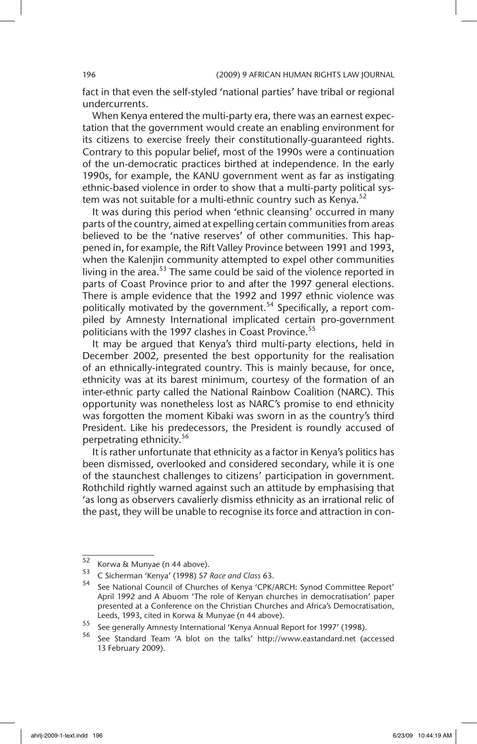fact in that even the self-styled 'national parties' have tribal or regional undercurrents.

When Kenya entered the multi-party era, there was an earnest expectation that the government would create an enabling environment for its citizens to exercise freely their constitutionally-guaranteed rights. Contrary to this popular belief, most of the 1990s were a continuation of the un-democratic practices birthed at independence. In the early 1990s, for example, the KANU government went as far as instigating ethnic-based violence in order to show that a multi-party political system was not suitable for a multi-ethnic country such as Kenya.<sup>52</sup>

It was during this period when 'ethnic cleansing' occurred in many parts of the country, aimed at expelling certain communities from areas believed to be the 'native reserves' of other communities. This happened in, for example, the Rift Valley Province between 1991 and 1993, when the Kalenjin community attempted to expel other communities living in the area. $53$  The same could be said of the violence reported in parts of Coast Province prior to and after the 1997 general elections. There is ample evidence that the 1992 and 1997 ethnic violence was politically motivated by the government.<sup>54</sup> Specifically, a report compiled by Amnesty International implicated certain pro-government politicians with the 1997 clashes in Coast Province.<sup>55</sup>

It may be argued that Kenya's third multi-party elections, held in December 2002, presented the best opportunity for the realisation of an ethnically-integrated country. This is mainly because, for once, ethnicity was at its barest minimum, courtesy of the formation of an inter-ethnic party called the National Rainbow Coalition (NARC). This opportunity was nonetheless lost as NARC's promise to end ethnicity was forgotten the moment Kibaki was sworn in as the country's third President. Like his predecessors, the President is roundly accused of perpetrating ethnicity.<sup>56</sup>

It is rather unfortunate that ethnicity as a factor in Kenya's politics has been dismissed, overlooked and considered secondary, while it is one of the staunchest challenges to citizens' participation in government. Rothchild rightly warned against such an attitude by emphasising that 'as long as observers cavalierly dismiss ethnicity as an irrational relic of the past, they will be unable to recognise its force and attraction in con-

<sup>52</sup> Korwa & Munyae (n 44 above).

<sup>53</sup> C Sicherman 'Kenya' (1998) 57 *Race and Class* 63.

See National Council of Churches of Kenya 'CPK/ARCH: Synod Committee Report' April 1992 and A Abuom 'The role of Kenyan churches in democratisation' paper presented at a Conference on the Christian Churches and Africa's Democratisation, Leeds, 1993, cited in Korwa & Munyae (n 44 above).

<sup>55</sup> See generally Amnesty International 'Kenya Annual Report for 1997' (1998).

See Standard Team 'A blot on the talks' http://www.eastandard.net (accessed 13 February 2009).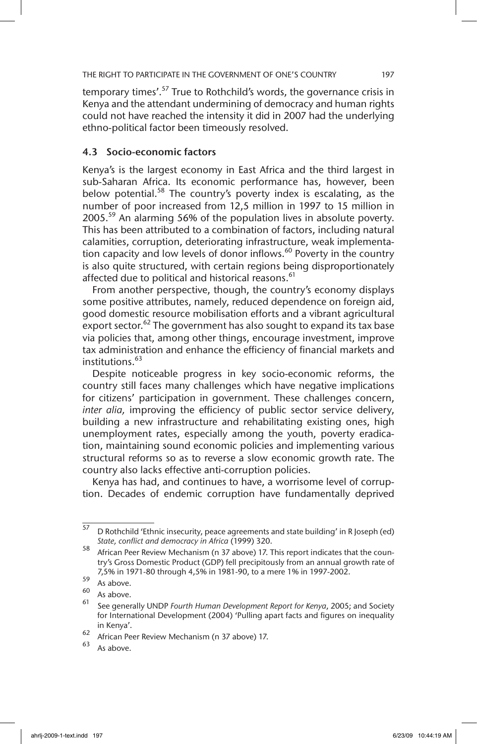temporary times'.<sup>57</sup> True to Rothchild's words, the governance crisis in Kenya and the attendant undermining of democracy and human rights could not have reached the intensity it did in 2007 had the underlying ethno-political factor been timeously resolved.

## 4.3 Socio-economic factors

Kenya's is the largest economy in East Africa and the third largest in sub-Saharan Africa. Its economic performance has, however, been below potential.<sup>58</sup> The country's poverty index is escalating, as the number of poor increased from 12,5 million in 1997 to 15 million in 2005.<sup>59</sup> An alarming 56% of the population lives in absolute poverty. This has been attributed to a combination of factors, including natural calamities, corruption, deteriorating infrastructure, weak implementation capacity and low levels of donor inflows. $60$  Poverty in the country is also quite structured, with certain regions being disproportionately affected due to political and historical reasons.<sup>61</sup>

From another perspective, though, the country's economy displays some positive attributes, namely, reduced dependence on foreign aid, good domestic resource mobilisation efforts and a vibrant agricultural export sector.<sup>62</sup> The government has also sought to expand its tax base via policies that, among other things, encourage investment, improve tax administration and enhance the efficiency of financial markets and institutions.<sup>63</sup>

Despite noticeable progress in key socio-economic reforms, the country still faces many challenges which have negative implications for citizens' participation in government. These challenges concern, *inter alia,* improving the efficiency of public sector service delivery, building a new infrastructure and rehabilitating existing ones, high unemployment rates, especially among the youth, poverty eradication, maintaining sound economic policies and implementing various structural reforms so as to reverse a slow economic growth rate. The country also lacks effective anti-corruption policies.

Kenya has had, and continues to have, a worrisome level of corruption. Decades of endemic corruption have fundamentally deprived

<sup>57</sup> D Rothchild 'Ethnic insecurity, peace agreements and state building' in R Joseph (ed) *State, conflict and democracy in Africa* (1999) 320.

<sup>58</sup> African Peer Review Mechanism (n 37 above) 17. This report indicates that the country's Gross Domestic Product (GDP) fell precipitously from an annual growth rate of 7,5% in 1971-80 through 4,5% in 1981-90, to a mere 1% in 1997-2002.

 $\begin{array}{c} 59 \\ 60 \end{array}$  As above.

 $60^\circ$  As above.

<sup>61</sup> See generally UNDP *Fourth Human Development Report for Kenya*, 2005; and Society for International Development (2004) 'Pulling apart facts and figures on inequality in Kenya'.

 $\frac{62}{63}$  African Peer Review Mechanism (n 37 above) 17.

As above.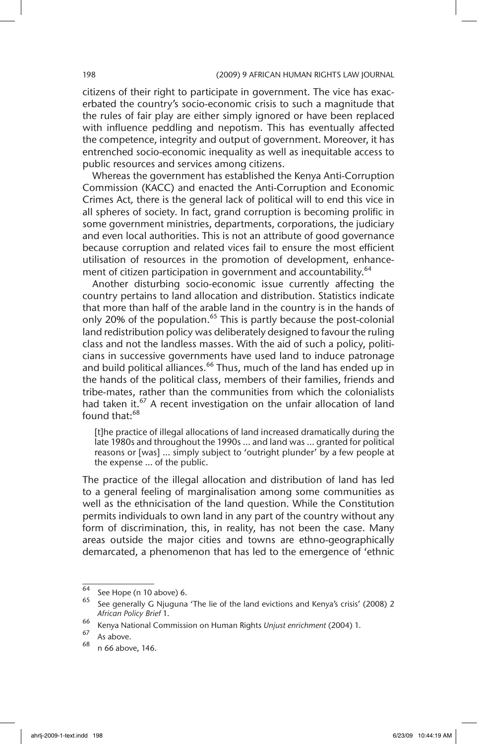citizens of their right to participate in government. The vice has exacerbated the country's socio-economic crisis to such a magnitude that the rules of fair play are either simply ignored or have been replaced with influence peddling and nepotism. This has eventually affected the competence, integrity and output of government. Moreover, it has entrenched socio-economic inequality as well as inequitable access to public resources and services among citizens.

Whereas the government has established the Kenya Anti-Corruption Commission (KACC) and enacted the Anti-Corruption and Economic Crimes Act*,* there is the general lack of political will to end this vice in all spheres of society. In fact, grand corruption is becoming prolific in some government ministries, departments, corporations, the judiciary and even local authorities. This is not an attribute of good governance because corruption and related vices fail to ensure the most efficient utilisation of resources in the promotion of development, enhancement of citizen participation in government and accountability.<sup>64</sup>

Another disturbing socio-economic issue currently affecting the country pertains to land allocation and distribution. Statistics indicate that more than half of the arable land in the country is in the hands of only 20% of the population.<sup>65</sup> This is partly because the post-colonial land redistribution policy was deliberately designed to favour the ruling class and not the landless masses. With the aid of such a policy, politicians in successive governments have used land to induce patronage and build political alliances.<sup>66</sup> Thus, much of the land has ended up in the hands of the political class, members of their families, friends and tribe-mates, rather than the communities from which the colonialists had taken it.<sup>67</sup> A recent investigation on the unfair allocation of land found that:<sup>68</sup>

[t]he practice of illegal allocations of land increased dramatically during the late 1980s and throughout the 1990s … and land was … granted for political reasons or [was] … simply subject to 'outright plunder' by a few people at the expense … of the public.

The practice of the illegal allocation and distribution of land has led to a general feeling of marginalisation among some communities as well as the ethnicisation of the land question. While the Constitution permits individuals to own land in any part of the country without any form of discrimination, this, in reality, has not been the case. Many areas outside the major cities and towns are ethno-geographically demarcated, a phenomenon that has led to the emergence of 'ethnic

<sup>64</sup> See Hope (n 10 above) 6.

<sup>65</sup> See generally G Njuguna 'The lie of the land evictions and Kenya's crisis' (2008) 2 *African Policy Brief* 1.

<sup>66</sup> Kenya National Commission on Human Rights *Unjust enrichment* (2004) 1.

 $\frac{67}{68}$  As above.

<sup>68</sup> n 66 above, 146.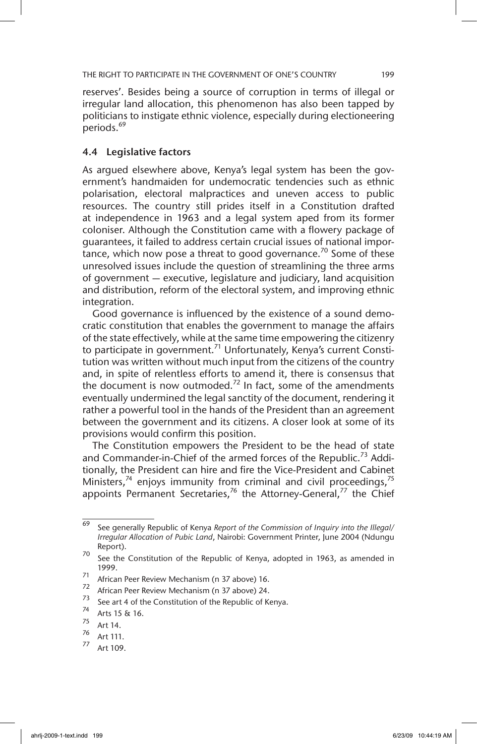reserves'. Besides being a source of corruption in terms of illegal or irregular land allocation, this phenomenon has also been tapped by politicians to instigate ethnic violence, especially during electioneering periods.<sup>69</sup>

## 4.4 Legislative factors

As argued elsewhere above, Kenya's legal system has been the government's handmaiden for undemocratic tendencies such as ethnic polarisation, electoral malpractices and uneven access to public resources. The country still prides itself in a Constitution drafted at independence in 1963 and a legal system aped from its former coloniser. Although the Constitution came with a flowery package of guarantees, it failed to address certain crucial issues of national importance, which now pose a threat to good governance.<sup>70</sup> Some of these unresolved issues include the question of streamlining the three arms of government — executive, legislature and judiciary, land acquisition and distribution, reform of the electoral system, and improving ethnic integration.

Good governance is influenced by the existence of a sound democratic constitution that enables the government to manage the affairs of the state effectively, while at the same time empowering the citizenry to participate in government.<sup>71</sup> Unfortunately, Kenya's current Constitution was written without much input from the citizens of the country and, in spite of relentless efforts to amend it, there is consensus that the document is now outmoded.<sup>72</sup> In fact, some of the amendments eventually undermined the legal sanctity of the document, rendering it rather a powerful tool in the hands of the President than an agreement between the government and its citizens. A closer look at some of its provisions would confirm this position.

The Constitution empowers the President to be the head of state and Commander-in-Chief of the armed forces of the Republic.<sup>73</sup> Additionally, the President can hire and fire the Vice-President and Cabinet Ministers,<sup>74</sup> enjoys immunity from criminal and civil proceedings,<sup>75</sup> appoints Permanent Secretaries,<sup>76</sup> the Attorney-General,<sup>77</sup> the Chief

<sup>69</sup> See generally Republic of Kenya *Report of the Commission of Inquiry into the Illegal/ Irregular Allocation of Pubic Land*, Nairobi: Government Printer, June 2004 (Ndungu Report).

 $\frac{10^{11}}{20}$  See the Constitution of the Republic of Kenya, adopted in 1963, as amended in 1999.

<sup>71</sup> African Peer Review Mechanism (n 37 above) 16.<br> $72. A$  African Peer Beriew Mechanism (n 37 above) 34.

<sup>&</sup>lt;sup>72</sup> African Peer Review Mechanism (n 37 above) 24.

 $\frac{73}{74}$  See art 4 of the Constitution of the Republic of Kenya.

 $^{74}$  Arts 15 & 16.

 $\frac{75}{76}$  Art 14.

 $\frac{76}{77}$  Art 111.

Art 109.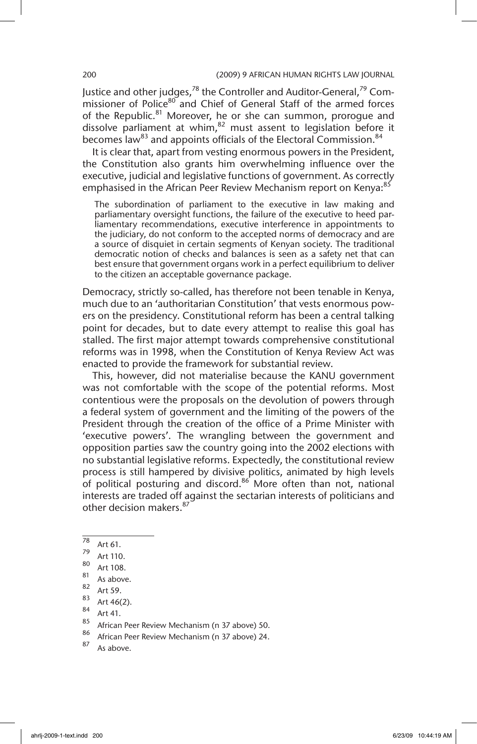Justice and other judges,<sup>78</sup> the Controller and Auditor-General,<sup>79</sup> Com $m$ issioner of Police $80$  and Chief of General Staff of the armed forces of the Republic.<sup>81</sup> Moreover, he or she can summon, prorogue and dissolve parliament at whim, $82$  must assent to legislation before it becomes law<sup>83</sup> and appoints officials of the Electoral Commission.<sup>84</sup>

It is clear that, apart from vesting enormous powers in the President, the Constitution also grants him overwhelming influence over the executive, judicial and legislative functions of government. As correctly emphasised in the African Peer Review Mechanism report on Kenya:<sup>85</sup>

The subordination of parliament to the executive in law making and parliamentary oversight functions, the failure of the executive to heed parliamentary recommendations, executive interference in appointments to the judiciary, do not conform to the accepted norms of democracy and are a source of disquiet in certain segments of Kenyan society. The traditional democratic notion of checks and balances is seen as a safety net that can best ensure that government organs work in a perfect equilibrium to deliver to the citizen an acceptable governance package.

Democracy, strictly so-called, has therefore not been tenable in Kenya, much due to an 'authoritarian Constitution' that vests enormous powers on the presidency. Constitutional reform has been a central talking point for decades, but to date every attempt to realise this goal has stalled. The first major attempt towards comprehensive constitutional reforms was in 1998, when the Constitution of Kenya Review Act was enacted to provide the framework for substantial review.

This, however, did not materialise because the KANU government was not comfortable with the scope of the potential reforms. Most contentious were the proposals on the devolution of powers through a federal system of government and the limiting of the powers of the President through the creation of the office of a Prime Minister with 'executive powers'. The wrangling between the government and opposition parties saw the country going into the 2002 elections with no substantial legislative reforms. Expectedly, the constitutional review process is still hampered by divisive politics, animated by high levels of political posturing and discord.<sup>86</sup> More often than not, national interests are traded off against the sectarian interests of politicians and other decision makers.<sup>87</sup>

 $\frac{78}{79}$  Art 61.

 $^{79}$  Art 110.

 $\frac{80}{81}$  Art 108.

 $\frac{81}{82}$  As above.

 $\frac{82}{83}$  Art 59.

 $\begin{array}{c} 83 \\ 84 \end{array}$  Art 46(2).

 $\frac{84}{85}$  Art 41.

<sup>&</sup>lt;sup>85</sup> African Peer Review Mechanism (n 37 above) 50.

 $\frac{80}{100}$  African Peer Review Mechanism (n 37 above) 24.

As above.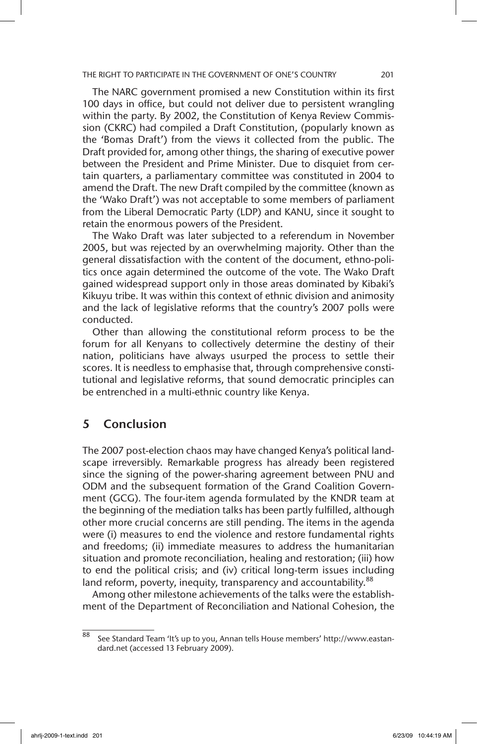The NARC government promised a new Constitution within its first 100 days in office, but could not deliver due to persistent wrangling within the party. By 2002, the Constitution of Kenya Review Commission (CKRC) had compiled a Draft Constitution, (popularly known as the 'Bomas Draft') from the views it collected from the public. The Draft provided for, among other things, the sharing of executive power between the President and Prime Minister. Due to disquiet from certain quarters, a parliamentary committee was constituted in 2004 to amend the Draft. The new Draft compiled by the committee (known as the 'Wako Draft') was not acceptable to some members of parliament from the Liberal Democratic Party (LDP) and KANU, since it sought to retain the enormous powers of the President.

The Wako Draft was later subjected to a referendum in November 2005, but was rejected by an overwhelming majority. Other than the general dissatisfaction with the content of the document, ethno-politics once again determined the outcome of the vote. The Wako Draft gained widespread support only in those areas dominated by Kibaki's Kikuyu tribe. It was within this context of ethnic division and animosity and the lack of legislative reforms that the country's 2007 polls were conducted.

Other than allowing the constitutional reform process to be the forum for all Kenyans to collectively determine the destiny of their nation, politicians have always usurped the process to settle their scores. It is needless to emphasise that, through comprehensive constitutional and legislative reforms, that sound democratic principles can be entrenched in a multi-ethnic country like Kenya.

## 5 Conclusion

The 2007 post-election chaos may have changed Kenya's political landscape irreversibly. Remarkable progress has already been registered since the signing of the power-sharing agreement between PNU and ODM and the subsequent formation of the Grand Coalition Government (GCG). The four-item agenda formulated by the KNDR team at the beginning of the mediation talks has been partly fulfilled, although other more crucial concerns are still pending. The items in the agenda were (i) measures to end the violence and restore fundamental rights and freedoms; (ii) immediate measures to address the humanitarian situation and promote reconciliation, healing and restoration; (iii) how to end the political crisis; and (iv) critical long-term issues including land reform, poverty, inequity, transparency and accountability.<sup>88</sup>

Among other milestone achievements of the talks were the establishment of the Department of Reconciliation and National Cohesion, the

<sup>88</sup> See Standard Team 'It's up to you, Annan tells House members' http://www.eastandard.net (accessed 13 February 2009).